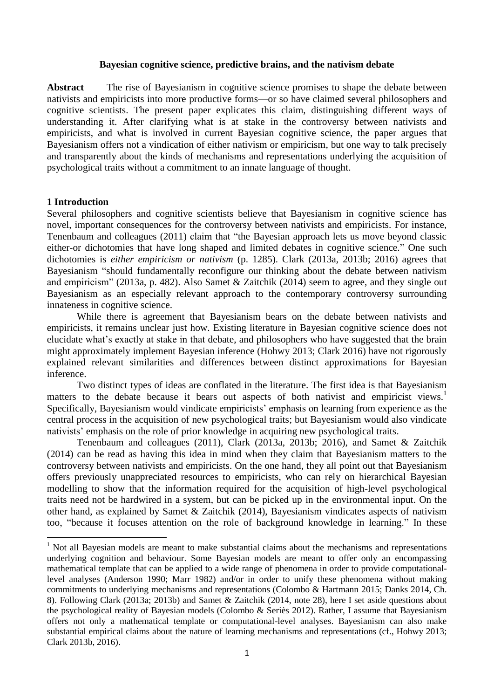### **Bayesian cognitive science, predictive brains, and the nativism debate**

**Abstract** The rise of Bayesianism in cognitive science promises to shape the debate between nativists and empiricists into more productive forms—or so have claimed several philosophers and cognitive scientists. The present paper explicates this claim, distinguishing different ways of understanding it. After clarifying what is at stake in the controversy between nativists and empiricists, and what is involved in current Bayesian cognitive science, the paper argues that Bayesianism offers not a vindication of either nativism or empiricism, but one way to talk precisely and transparently about the kinds of mechanisms and representations underlying the acquisition of psychological traits without a commitment to an innate language of thought.

## **1 Introduction**

**.** 

Several philosophers and cognitive scientists believe that Bayesianism in cognitive science has novel, important consequences for the controversy between nativists and empiricists. For instance, Tenenbaum and colleagues (2011) claim that "the Bayesian approach lets us move beyond classic either-or dichotomies that have long shaped and limited debates in cognitive science." One such dichotomies is *either empiricism or nativism* (p. 1285). Clark (2013a, 2013b; 2016) agrees that Bayesianism "should fundamentally reconfigure our thinking about the debate between nativism and empiricism" (2013a, p. 482). Also Samet & Zaitchik (2014) seem to agree, and they single out Bayesianism as an especially relevant approach to the contemporary controversy surrounding innateness in cognitive science.

While there is agreement that Bayesianism bears on the debate between nativists and empiricists, it remains unclear just how. Existing literature in Bayesian cognitive science does not elucidate what's exactly at stake in that debate, and philosophers who have suggested that the brain might approximately implement Bayesian inference (Hohwy 2013; Clark 2016) have not rigorously explained relevant similarities and differences between distinct approximations for Bayesian inference.

Two distinct types of ideas are conflated in the literature. The first idea is that Bayesianism matters to the debate because it bears out aspects of both nativist and empiricist views.<sup>1</sup> Specifically, Bayesianism would vindicate empiricists' emphasis on learning from experience as the central process in the acquisition of new psychological traits; but Bayesianism would also vindicate nativists' emphasis on the role of prior knowledge in acquiring new psychological traits.

Tenenbaum and colleagues (2011), Clark (2013a, 2013b; 2016), and Samet & Zaitchik (2014) can be read as having this idea in mind when they claim that Bayesianism matters to the controversy between nativists and empiricists. On the one hand, they all point out that Bayesianism offers previously unappreciated resources to empiricists, who can rely on hierarchical Bayesian modelling to show that the information required for the acquisition of high-level psychological traits need not be hardwired in a system, but can be picked up in the environmental input. On the other hand, as explained by Samet & Zaitchik (2014), Bayesianism vindicates aspects of nativism too, "because it focuses attention on the role of background knowledge in learning." In these

<sup>&</sup>lt;sup>1</sup> Not all Bayesian models are meant to make substantial claims about the mechanisms and representations underlying cognition and behaviour. Some Bayesian models are meant to offer only an encompassing mathematical template that can be applied to a wide range of phenomena in order to provide computationallevel analyses (Anderson 1990; Marr 1982) and/or in order to unify these phenomena without making commitments to underlying mechanisms and representations (Colombo & Hartmann 2015; Danks 2014, Ch. 8). Following Clark (2013a; 2013b) and Samet & Zaitchik (2014, note 28), here I set aside questions about the psychological reality of Bayesian models (Colombo & Seriès 2012). Rather, I assume that Bayesianism offers not only a mathematical template or computational-level analyses. Bayesianism can also make substantial empirical claims about the nature of learning mechanisms and representations (cf., Hohwy 2013; Clark 2013b, 2016).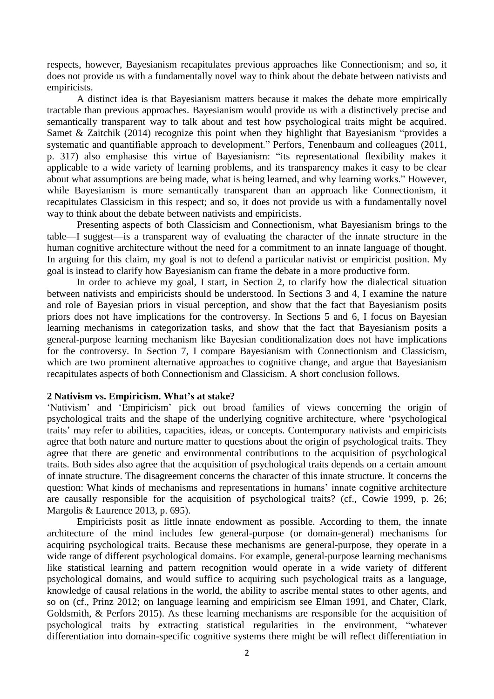respects, however, Bayesianism recapitulates previous approaches like Connectionism; and so, it does not provide us with a fundamentally novel way to think about the debate between nativists and empiricists.

A distinct idea is that Bayesianism matters because it makes the debate more empirically tractable than previous approaches. Bayesianism would provide us with a distinctively precise and semantically transparent way to talk about and test how psychological traits might be acquired. Samet & Zaitchik (2014) recognize this point when they highlight that Bayesianism "provides a systematic and quantifiable approach to development." Perfors, Tenenbaum and colleagues (2011, p. 317) also emphasise this virtue of Bayesianism: "its representational flexibility makes it applicable to a wide variety of learning problems, and its transparency makes it easy to be clear about what assumptions are being made, what is being learned, and why learning works." However, while Bayesianism is more semantically transparent than an approach like Connectionism, it recapitulates Classicism in this respect; and so, it does not provide us with a fundamentally novel way to think about the debate between nativists and empiricists.

Presenting aspects of both Classicism and Connectionism, what Bayesianism brings to the table—I suggest—is a transparent way of evaluating the character of the innate structure in the human cognitive architecture without the need for a commitment to an innate language of thought. In arguing for this claim, my goal is not to defend a particular nativist or empiricist position. My goal is instead to clarify how Bayesianism can frame the debate in a more productive form.

In order to achieve my goal, I start, in Section 2, to clarify how the dialectical situation between nativists and empiricists should be understood. In Sections 3 and 4, I examine the nature and role of Bayesian priors in visual perception, and show that the fact that Bayesianism posits priors does not have implications for the controversy. In Sections 5 and 6, I focus on Bayesian learning mechanisms in categorization tasks, and show that the fact that Bayesianism posits a general-purpose learning mechanism like Bayesian conditionalization does not have implications for the controversy. In Section 7, I compare Bayesianism with Connectionism and Classicism, which are two prominent alternative approaches to cognitive change, and argue that Bayesianism recapitulates aspects of both Connectionism and Classicism. A short conclusion follows.

# **2 Nativism vs. Empiricism. What's at stake?**

'Nativism' and 'Empiricism' pick out broad families of views concerning the origin of psychological traits and the shape of the underlying cognitive architecture, where 'psychological traits' may refer to abilities, capacities, ideas, or concepts. Contemporary nativists and empiricists agree that both nature and nurture matter to questions about the origin of psychological traits. They agree that there are genetic and environmental contributions to the acquisition of psychological traits. Both sides also agree that the acquisition of psychological traits depends on a certain amount of innate structure. The disagreement concerns the character of this innate structure. It concerns the question: What kinds of mechanisms and representations in humans' innate cognitive architecture are causally responsible for the acquisition of psychological traits? (cf., Cowie 1999, p. 26; Margolis & Laurence 2013, p. 695).

Empiricists posit as little innate endowment as possible. According to them, the innate architecture of the mind includes few general-purpose (or domain-general) mechanisms for acquiring psychological traits. Because these mechanisms are general-purpose, they operate in a wide range of different psychological domains. For example, general-purpose learning mechanisms like statistical learning and pattern recognition would operate in a wide variety of different psychological domains, and would suffice to acquiring such psychological traits as a language, knowledge of causal relations in the world, the ability to ascribe mental states to other agents, and so on (cf., Prinz 2012; on language learning and empiricism see Elman 1991, and Chater, Clark, Goldsmith, & Perfors 2015). As these learning mechanisms are responsible for the acquisition of psychological traits by extracting statistical regularities in the environment, "whatever differentiation into domain-specific cognitive systems there might be will reflect differentiation in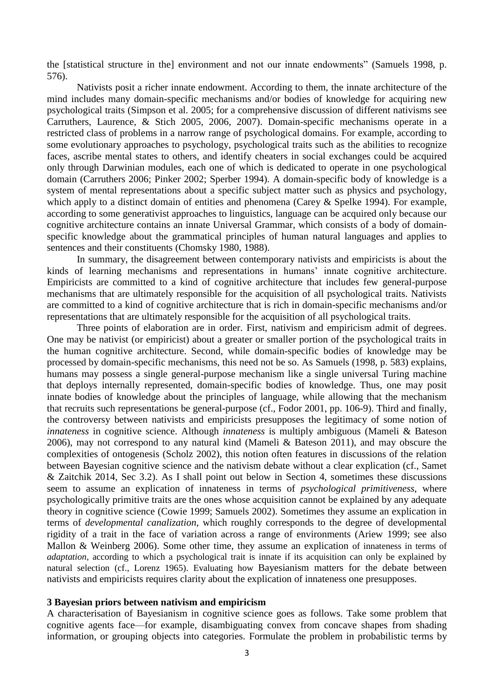the [statistical structure in the] environment and not our innate endowments" (Samuels 1998, p. 576).

Nativists posit a richer innate endowment. According to them, the innate architecture of the mind includes many domain-specific mechanisms and/or bodies of knowledge for acquiring new psychological traits (Simpson et al. 2005; for a comprehensive discussion of different nativisms see Carruthers, Laurence, & Stich 2005, 2006, 2007). Domain-specific mechanisms operate in a restricted class of problems in a narrow range of psychological domains. For example, according to some evolutionary approaches to psychology, psychological traits such as the abilities to recognize faces, ascribe mental states to others, and identify cheaters in social exchanges could be acquired only through Darwinian modules, each one of which is dedicated to operate in one psychological domain (Carruthers 2006; Pinker 2002; Sperber 1994). A domain-specific body of knowledge is a system of mental representations about a specific subject matter such as physics and psychology, which apply to a distinct domain of entities and phenomena (Carey & Spelke 1994). For example, according to some generativist approaches to linguistics, language can be acquired only because our cognitive architecture contains an innate Universal Grammar, which consists of a body of domainspecific knowledge about the grammatical principles of human natural languages and applies to sentences and their constituents (Chomsky 1980, 1988).

In summary, the disagreement between contemporary nativists and empiricists is about the kinds of learning mechanisms and representations in humans' innate cognitive architecture. Empiricists are committed to a kind of cognitive architecture that includes few general-purpose mechanisms that are ultimately responsible for the acquisition of all psychological traits. Nativists are committed to a kind of cognitive architecture that is rich in domain-specific mechanisms and/or representations that are ultimately responsible for the acquisition of all psychological traits.

Three points of elaboration are in order. First, nativism and empiricism admit of degrees. One may be nativist (or empiricist) about a greater or smaller portion of the psychological traits in the human cognitive architecture. Second, while domain-specific bodies of knowledge may be processed by domain-specific mechanisms, this need not be so. As Samuels (1998, p. 583) explains, humans may possess a single general-purpose mechanism like a single universal Turing machine that deploys internally represented, domain-specific bodies of knowledge. Thus, one may posit innate bodies of knowledge about the principles of language, while allowing that the mechanism that recruits such representations be general-purpose (cf., Fodor 2001, pp. 106-9). Third and finally, the controversy between nativists and empiricists presupposes the legitimacy of some notion of *innateness* in cognitive science. Although *innateness* is multiply ambiguous (Mameli & Bateson 2006), may not correspond to any natural kind (Mameli & Bateson 2011), and may obscure the complexities of ontogenesis (Scholz 2002), this notion often features in discussions of the relation between Bayesian cognitive science and the nativism debate without a clear explication (cf., Samet & Zaitchik 2014, Sec 3.2). As I shall point out below in Section 4, sometimes these discussions seem to assume an explication of innateness in terms of *psychological primitiveness*, where psychologically primitive traits are the ones whose acquisition cannot be explained by any adequate theory in cognitive science (Cowie 1999; Samuels 2002). Sometimes they assume an explication in terms of *developmental canalization*, which roughly corresponds to the degree of developmental rigidity of a trait in the face of variation across a range of environments (Ariew 1999; see also Mallon & Weinberg 2006). Some other time, they assume an explication of innateness in terms of *adaptation*, according to which a psychological trait is innate if its acquisition can only be explained by natural selection (cf., Lorenz 1965). Evaluating how Bayesianism matters for the debate between nativists and empiricists requires clarity about the explication of innateness one presupposes.

### **3 Bayesian priors between nativism and empiricism**

A characterisation of Bayesianism in cognitive science goes as follows. Take some problem that cognitive agents face—for example, disambiguating convex from concave shapes from shading information, or grouping objects into categories. Formulate the problem in probabilistic terms by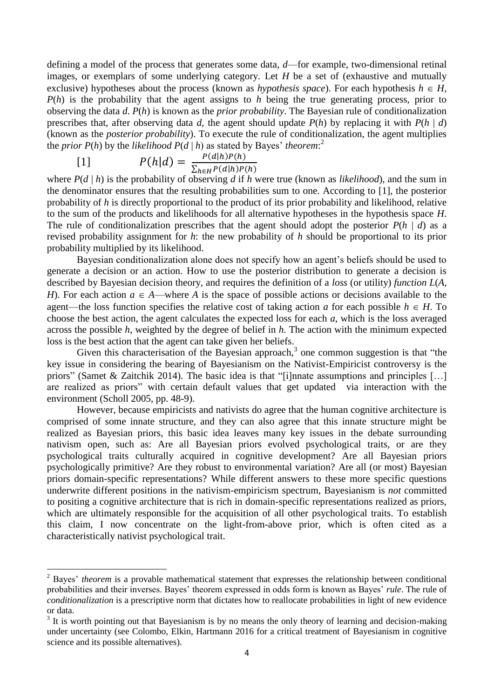defining a model of the process that generates some data, *d*—for example, two-dimensional retinal images, or exemplars of some underlying category. Let *H* be a set of (exhaustive and mutually exclusive) hypotheses about the process (known as *hypothesis space*). For each hypothesis  $h \in H$ , *P*(*h*) is the probability that the agent assigns to *h* being the true generating process, prior to observing the data *d*. *P*(*h*) is known as the *prior probability*. The Bayesian rule of conditionalization prescribes that, after observing data *d*, the agent should update  $P(h)$  by replacing it with  $P(h | d)$ (known as the *posterior probability*). To execute the rule of conditionalization, the agent multiplies the *prior P(h)* by the *likelihood*  $P(d | h)$  as stated by Bayes' *theorem*:<sup>2</sup>

$$
P(h|d) = \frac{P(d|h)P(h)}{\sum_{h \in H} P(d|h)P(h)}
$$

**.** 

where *P*(*d* | *h*) is the probability of observing *d* if *h* were true (known as *likelihood*), and the sum in the denominator ensures that the resulting probabilities sum to one. According to [1], the posterior probability of *h* is directly proportional to the product of its prior probability and likelihood, relative to the sum of the products and likelihoods for all alternative hypotheses in the hypothesis space *H*. The rule of conditionalization prescribes that the agent should adopt the posterior  $P(h | d)$  as a revised probability assignment for *h*: the new probability of *h* should be proportional to its prior probability multiplied by its likelihood.

Bayesian conditionalization alone does not specify how an agent's beliefs should be used to generate a decision or an action. How to use the posterior distribution to generate a decision is described by Bayesian decision theory, and requires the definition of a *loss* (or utility) *function L*(*A*, *H*). For each action  $a \in A$ —where *A* is the space of possible actions or decisions available to the agent—the loss function specifies the relative cost of taking action *a* for each possible  $h \in H$ . To choose the best action, the agent calculates the expected loss for each *a*, which is the loss averaged across the possible *h*, weighted by the degree of belief in *h*. The action with the minimum expected loss is the best action that the agent can take given her beliefs.

Given this characterisation of the Bayesian approach, $3$  one common suggestion is that "the key issue in considering the bearing of Bayesianism on the Nativist-Empiricist controversy is the priors" (Samet & Zaitchik 2014). The basic idea is that "[i]nnate assumptions and principles […] are realized as priors" with certain default values that get updated via interaction with the environment (Scholl 2005, pp. 48-9).

However, because empiricists and nativists do agree that the human cognitive architecture is comprised of some innate structure, and they can also agree that this innate structure might be realized as Bayesian priors, this basic idea leaves many key issues in the debate surrounding nativism open, such as: Are all Bayesian priors evolved psychological traits, or are they psychological traits culturally acquired in cognitive development? Are all Bayesian priors psychologically primitive? Are they robust to environmental variation? Are all (or most) Bayesian priors domain-specific representations? While different answers to these more specific questions underwrite different positions in the nativism-empiricism spectrum, Bayesianism is *not* committed to positing a cognitive architecture that is rich in domain-specific representations realized as priors, which are ultimately responsible for the acquisition of all other psychological traits. To establish this claim, I now concentrate on the light-from-above prior, which is often cited as a characteristically nativist psychological trait.

<sup>&</sup>lt;sup>2</sup> Bayes' *theorem* is a provable mathematical statement that expresses the relationship between conditional probabilities and their inverses. Bayes' theorem expressed in odds form is known as Bayes' *rule*. The rule of *conditionalization* is a prescriptive norm that dictates how to reallocate probabilities in light of new evidence or data.

 $3$  It is worth pointing out that Bayesianism is by no means the only theory of learning and decision-making under uncertainty (see Colombo, Elkin, Hartmann 2016 for a critical treatment of Bayesianism in cognitive science and its possible alternatives).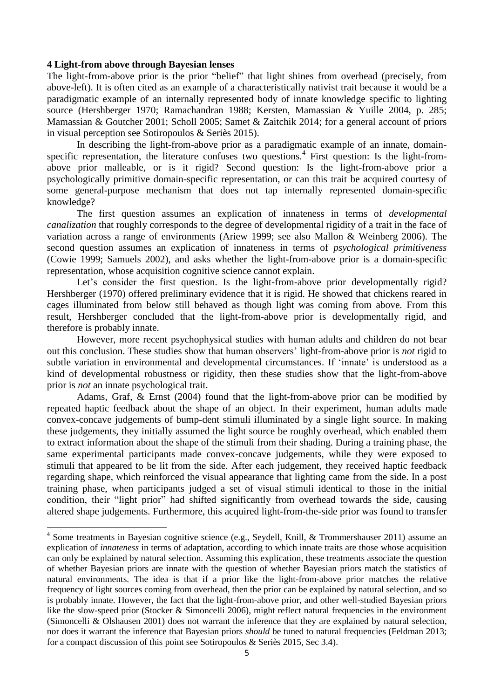## **4 Light-from above through Bayesian lenses**

The light-from-above prior is the prior "belief" that light shines from overhead (precisely, from above-left). It is often cited as an example of a characteristically nativist trait because it would be a paradigmatic example of an internally represented body of innate knowledge specific to lighting source (Hershberger 1970; Ramachandran 1988; Kersten, Mamassian & Yuille 2004, p. 285; Mamassian & Goutcher 2001; Scholl 2005; Samet & Zaitchik 2014; for a general account of priors in visual perception see Sotiropoulos & Seriès 2015).

In describing the light-from-above prior as a paradigmatic example of an innate, domainspecific representation, the literature confuses two questions.<sup>4</sup> First question: Is the light-fromabove prior malleable, or is it rigid? Second question: Is the light-from-above prior a psychologically primitive domain-specific representation, or can this trait be acquired courtesy of some general-purpose mechanism that does not tap internally represented domain-specific knowledge?

The first question assumes an explication of innateness in terms of *developmental canalization* that roughly corresponds to the degree of developmental rigidity of a trait in the face of variation across a range of environments (Ariew 1999; see also Mallon & Weinberg 2006). The second question assumes an explication of innateness in terms of *psychological primitiveness* (Cowie 1999; Samuels 2002), and asks whether the light-from-above prior is a domain-specific representation, whose acquisition cognitive science cannot explain.

Let's consider the first question. Is the light-from-above prior developmentally rigid? Hershberger (1970) offered preliminary evidence that it is rigid. He showed that chickens reared in cages illuminated from below still behaved as though light was coming from above. From this result, Hershberger concluded that the light-from-above prior is developmentally rigid, and therefore is probably innate.

However, more recent psychophysical studies with human adults and children do not bear out this conclusion. These studies show that human observers' light-from-above prior is *not* rigid to subtle variation in environmental and developmental circumstances. If 'innate' is understood as a kind of developmental robustness or rigidity, then these studies show that the light-from-above prior is *not* an innate psychological trait.

Adams, Graf, & Ernst (2004) found that the light-from-above prior can be modified by repeated haptic feedback about the shape of an object. In their experiment, human adults made convex-concave judgements of bump-dent stimuli illuminated by a single light source. In making these judgements, they initially assumed the light source be roughly overhead, which enabled them to extract information about the shape of the stimuli from their shading. During a training phase, the same experimental participants made convex-concave judgements, while they were exposed to stimuli that appeared to be lit from the side. After each judgement, they received haptic feedback regarding shape, which reinforced the visual appearance that lighting came from the side. In a post training phase, when participants judged a set of visual stimuli identical to those in the initial condition, their "light prior" had shifted significantly from overhead towards the side, causing altered shape judgements. Furthermore, this acquired light-from-the-side prior was found to transfer

 4 Some treatments in Bayesian cognitive science (e.g., Seydell, Knill, & Trommershauser 2011) assume an explication of *innateness* in terms of adaptation, according to which innate traits are those whose acquisition can only be explained by natural selection. Assuming this explication, these treatments associate the question of whether Bayesian priors are innate with the question of whether Bayesian priors match the statistics of natural environments. The idea is that if a prior like the light-from-above prior matches the relative frequency of light sources coming from overhead, then the prior can be explained by natural selection, and so is probably innate. However, the fact that the light-from-above prior, and other well-studied Bayesian priors like the slow-speed prior (Stocker & Simoncelli 2006), might reflect natural frequencies in the environment (Simoncelli & Olshausen 2001) does not warrant the inference that they are explained by natural selection, nor does it warrant the inference that Bayesian priors *should* be tuned to natural frequencies (Feldman 2013; for a compact discussion of this point see Sotiropoulos & Seriès 2015, Sec 3.4).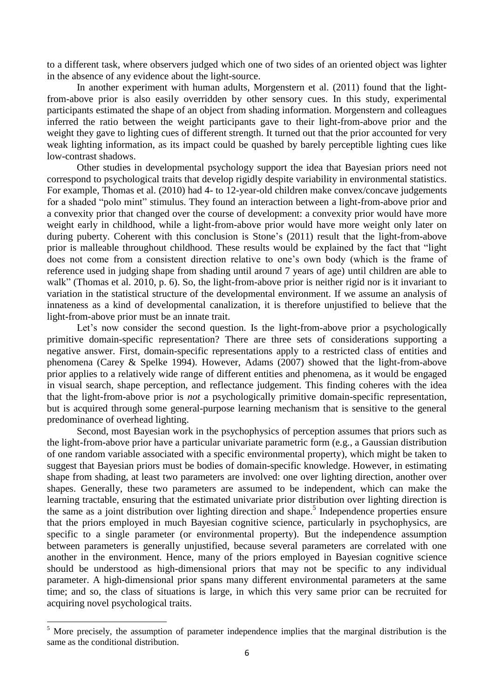to a different task, where observers judged which one of two sides of an oriented object was lighter in the absence of any evidence about the light-source.

In another experiment with human adults, Morgenstern et al. (2011) found that the lightfrom-above prior is also easily overridden by other sensory cues. In this study, experimental participants estimated the shape of an object from shading information. Morgenstern and colleagues inferred the ratio between the weight participants gave to their light-from-above prior and the weight they gave to lighting cues of different strength. It turned out that the prior accounted for very weak lighting information, as its impact could be quashed by barely perceptible lighting cues like low-contrast shadows.

Other studies in developmental psychology support the idea that Bayesian priors need not correspond to psychological traits that develop rigidly despite variability in environmental statistics. For example, Thomas et al. (2010) had 4- to 12-year-old children make convex/concave judgements for a shaded "polo mint" stimulus. They found an interaction between a light-from-above prior and a convexity prior that changed over the course of development: a convexity prior would have more weight early in childhood, while a light-from-above prior would have more weight only later on during puberty. Coherent with this conclusion is Stone's (2011) result that the light-from-above prior is malleable throughout childhood. These results would be explained by the fact that "light does not come from a consistent direction relative to one's own body (which is the frame of reference used in judging shape from shading until around 7 years of age) until children are able to walk" (Thomas et al. 2010, p. 6). So, the light-from-above prior is neither rigid nor is it invariant to variation in the statistical structure of the developmental environment. If we assume an analysis of innateness as a kind of developmental canalization, it is therefore unjustified to believe that the light-from-above prior must be an innate trait.

Let's now consider the second question. Is the light-from-above prior a psychologically primitive domain-specific representation? There are three sets of considerations supporting a negative answer. First, domain-specific representations apply to a restricted class of entities and phenomena (Carey & Spelke 1994). However, Adams (2007) showed that the light-from-above prior applies to a relatively wide range of different entities and phenomena, as it would be engaged in visual search, shape perception, and reflectance judgement. This finding coheres with the idea that the light-from-above prior is *not* a psychologically primitive domain-specific representation, but is acquired through some general-purpose learning mechanism that is sensitive to the general predominance of overhead lighting.

Second, most Bayesian work in the psychophysics of perception assumes that priors such as the light-from-above prior have a particular univariate parametric form (e.g., a Gaussian distribution of one random variable associated with a specific environmental property), which might be taken to suggest that Bayesian priors must be bodies of domain-specific knowledge. However, in estimating shape from shading, at least two parameters are involved: one over lighting direction, another over shapes. Generally, these two parameters are assumed to be independent, which can make the learning tractable, ensuring that the estimated univariate prior distribution over lighting direction is the same as a joint distribution over lighting direction and shape.<sup>5</sup> Independence properties ensure that the priors employed in much Bayesian cognitive science, particularly in psychophysics, are specific to a single parameter (or environmental property). But the independence assumption between parameters is generally unjustified, because several parameters are correlated with one another in the environment. Hence, many of the priors employed in Bayesian cognitive science should be understood as high-dimensional priors that may not be specific to any individual parameter. A high-dimensional prior spans many different environmental parameters at the same time; and so, the class of situations is large, in which this very same prior can be recruited for acquiring novel psychological traits.

**.** 

<sup>&</sup>lt;sup>5</sup> More precisely, the assumption of parameter independence implies that the marginal distribution is the same as the conditional distribution.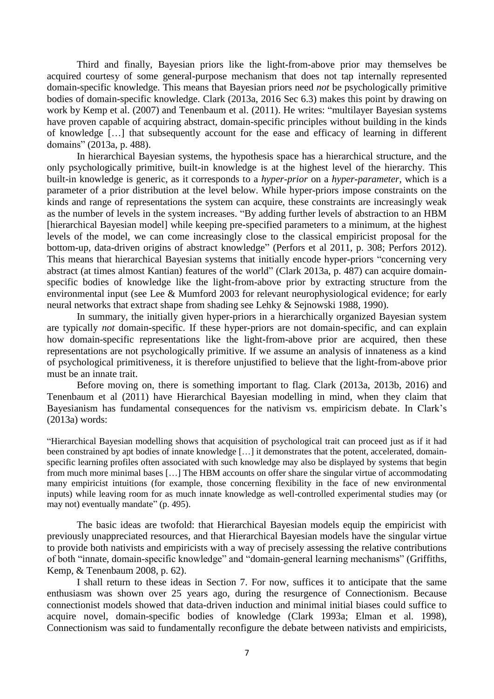Third and finally, Bayesian priors like the light-from-above prior may themselves be acquired courtesy of some general-purpose mechanism that does not tap internally represented domain-specific knowledge. This means that Bayesian priors need *not* be psychologically primitive bodies of domain-specific knowledge. Clark (2013a, 2016 Sec 6.3) makes this point by drawing on work by Kemp et al. (2007) and Tenenbaum et al. (2011). He writes: "multilayer Bayesian systems have proven capable of acquiring abstract, domain-specific principles without building in the kinds of knowledge […] that subsequently account for the ease and efficacy of learning in different domains" (2013a, p. 488).

In hierarchical Bayesian systems, the hypothesis space has a hierarchical structure, and the only psychologically primitive, built-in knowledge is at the highest level of the hierarchy. This built-in knowledge is generic, as it corresponds to a *hyper-prior* on a *hyper-parameter*, which is a parameter of a prior distribution at the level below. While hyper-priors impose constraints on the kinds and range of representations the system can acquire, these constraints are increasingly weak as the number of levels in the system increases. "By adding further levels of abstraction to an HBM [hierarchical Bayesian model] while keeping pre-specified parameters to a minimum, at the highest levels of the model, we can come increasingly close to the classical empiricist proposal for the bottom-up, data-driven origins of abstract knowledge" (Perfors et al 2011, p. 308; Perfors 2012). This means that hierarchical Bayesian systems that initially encode hyper-priors "concerning very abstract (at times almost Kantian) features of the world" (Clark 2013a, p. 487) can acquire domainspecific bodies of knowledge like the light-from-above prior by extracting structure from the environmental input (see Lee & Mumford 2003 for relevant neurophysiological evidence; for early neural networks that extract shape from shading see Lehky & Sejnowski 1988, 1990).

In summary, the initially given hyper-priors in a hierarchically organized Bayesian system are typically *not* domain-specific. If these hyper-priors are not domain-specific, and can explain how domain-specific representations like the light-from-above prior are acquired, then these representations are not psychologically primitive. If we assume an analysis of innateness as a kind of psychological primitiveness, it is therefore unjustified to believe that the light-from-above prior must be an innate trait.

Before moving on, there is something important to flag. Clark (2013a, 2013b, 2016) and Tenenbaum et al (2011) have Hierarchical Bayesian modelling in mind, when they claim that Bayesianism has fundamental consequences for the nativism vs. empiricism debate. In Clark's (2013a) words:

"Hierarchical Bayesian modelling shows that acquisition of psychological trait can proceed just as if it had been constrained by apt bodies of innate knowledge […] it demonstrates that the potent, accelerated, domainspecific learning profiles often associated with such knowledge may also be displayed by systems that begin from much more minimal bases […] The HBM accounts on offer share the singular virtue of accommodating many empiricist intuitions (for example, those concerning flexibility in the face of new environmental inputs) while leaving room for as much innate knowledge as well-controlled experimental studies may (or may not) eventually mandate" (p. 495).

The basic ideas are twofold: that Hierarchical Bayesian models equip the empiricist with previously unappreciated resources, and that Hierarchical Bayesian models have the singular virtue to provide both nativists and empiricists with a way of precisely assessing the relative contributions of both "innate, domain-specific knowledge" and "domain-general learning mechanisms" (Griffiths, Kemp, & Tenenbaum 2008, p. 62).

I shall return to these ideas in Section 7. For now, suffices it to anticipate that the same enthusiasm was shown over 25 years ago, during the resurgence of Connectionism. Because connectionist models showed that data-driven induction and minimal initial biases could suffice to acquire novel, domain-specific bodies of knowledge (Clark 1993a; Elman et al. 1998), Connectionism was said to fundamentally reconfigure the debate between nativists and empiricists,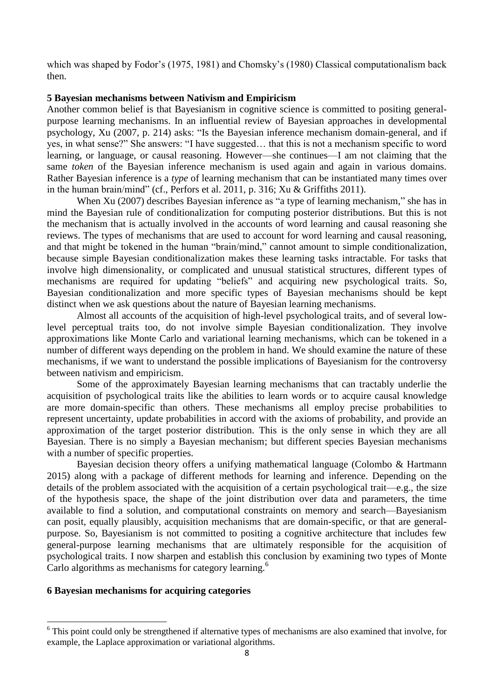which was shaped by Fodor's (1975, 1981) and Chomsky's (1980) Classical computationalism back then.

# **5 Bayesian mechanisms between Nativism and Empiricism**

Another common belief is that Bayesianism in cognitive science is committed to positing generalpurpose learning mechanisms. In an influential review of Bayesian approaches in developmental psychology, Xu (2007, p. 214) asks: "Is the Bayesian inference mechanism domain-general, and if yes, in what sense?" She answers: "I have suggested… that this is not a mechanism specific to word learning, or language, or causal reasoning. However—she continues—I am not claiming that the same *token* of the Bayesian inference mechanism is used again and again in various domains. Rather Bayesian inference is a *type* of learning mechanism that can be instantiated many times over in the human brain/mind" (cf., Perfors et al. 2011, p. 316; Xu & Griffiths 2011).

When Xu (2007) describes Bayesian inference as "a type of learning mechanism," she has in mind the Bayesian rule of conditionalization for computing posterior distributions. But this is not the mechanism that is actually involved in the accounts of word learning and causal reasoning she reviews. The types of mechanisms that are used to account for word learning and causal reasoning, and that might be tokened in the human "brain/mind," cannot amount to simple conditionalization, because simple Bayesian conditionalization makes these learning tasks intractable. For tasks that involve high dimensionality, or complicated and unusual statistical structures, different types of mechanisms are required for updating "beliefs" and acquiring new psychological traits. So, Bayesian conditionalization and more specific types of Bayesian mechanisms should be kept distinct when we ask questions about the nature of Bayesian learning mechanisms.

Almost all accounts of the acquisition of high-level psychological traits, and of several lowlevel perceptual traits too, do not involve simple Bayesian conditionalization. They involve approximations like Monte Carlo and variational learning mechanisms, which can be tokened in a number of different ways depending on the problem in hand. We should examine the nature of these mechanisms, if we want to understand the possible implications of Bayesianism for the controversy between nativism and empiricism.

Some of the approximately Bayesian learning mechanisms that can tractably underlie the acquisition of psychological traits like the abilities to learn words or to acquire causal knowledge are more domain-specific than others. These mechanisms all employ precise probabilities to represent uncertainty, update probabilities in accord with the axioms of probability, and provide an approximation of the target posterior distribution. This is the only sense in which they are all Bayesian. There is no simply a Bayesian mechanism; but different species Bayesian mechanisms with a number of specific properties.

Bayesian decision theory offers a unifying mathematical language (Colombo & Hartmann 2015) along with a package of different methods for learning and inference. Depending on the details of the problem associated with the acquisition of a certain psychological trait—e.g., the size of the hypothesis space, the shape of the joint distribution over data and parameters, the time available to find a solution, and computational constraints on memory and search—Bayesianism can posit, equally plausibly, acquisition mechanisms that are domain-specific, or that are generalpurpose. So, Bayesianism is not committed to positing a cognitive architecture that includes few general-purpose learning mechanisms that are ultimately responsible for the acquisition of psychological traits. I now sharpen and establish this conclusion by examining two types of Monte Carlo algorithms as mechanisms for category learning.<sup>6</sup>

## **6 Bayesian mechanisms for acquiring categories**

**.** 

<sup>&</sup>lt;sup>6</sup> This point could only be strengthened if alternative types of mechanisms are also examined that involve, for example, the Laplace approximation or variational algorithms.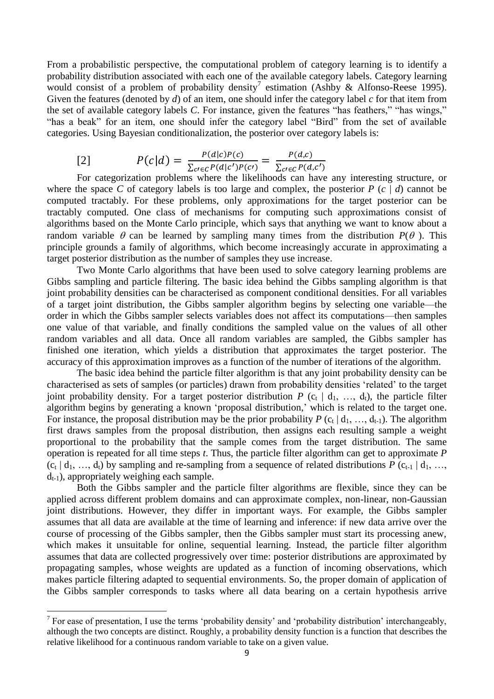From a probabilistic perspective, the computational problem of category learning is to identify a probability distribution associated with each one of the available category labels. Category learning would consist of a problem of probability density<sup>7</sup> estimation (Ashby & Alfonso-Reese 1995). Given the features (denoted by *d*) of an item, one should infer the category label *c* for that item from the set of available category labels *C*. For instance, given the features "has feathers," "has wings," "has a beak" for an item, one should infer the category label "Bird" from the set of available categories. Using Bayesian conditionalization, the posterior over category labels is:

[2] 
$$
P(c|d) = \frac{P(d|c)P(c)}{\sum_{c' \in C} P(d|c')P(c')} = \frac{P(d,c)}{\sum_{c' \in C} P(d,c')}
$$

For categorization problems where the likelihoods can have any interesting structure, or where the space *C* of category labels is too large and complex, the posterior *P*  $(c | d)$  cannot be computed tractably. For these problems, only approximations for the target posterior can be tractably computed. One class of mechanisms for computing such approximations consist of algorithms based on the Monte Carlo principle, which says that anything we want to know about a random variable  $\theta$  can be learned by sampling many times from the distribution  $P(\theta)$ . This principle grounds a family of algorithms, which become increasingly accurate in approximating a target posterior distribution as the number of samples they use increase.

Two Monte Carlo algorithms that have been used to solve category learning problems are Gibbs sampling and particle filtering. The basic idea behind the Gibbs sampling algorithm is that joint probability densities can be characterised as component conditional densities. For all variables of a target joint distribution, the Gibbs sampler algorithm begins by selecting one variable—the order in which the Gibbs sampler selects variables does not affect its computations—then samples one value of that variable, and finally conditions the sampled value on the values of all other random variables and all data. Once all random variables are sampled, the Gibbs sampler has finished one iteration, which yields a distribution that approximates the target posterior. The accuracy of this approximation improves as a function of the number of iterations of the algorithm.

The basic idea behind the particle filter algorithm is that any joint probability density can be characterised as sets of samples (or particles) drawn from probability densities 'related' to the target joint probability density. For a target posterior distribution  $P$  ( $c_t$  |  $d_1$ , ...,  $d_t$ ), the particle filter algorithm begins by generating a known 'proposal distribution,' which is related to the target one. For instance, the proposal distribution may be the prior probability  $P$  ( $c_t | d_1, ..., d_{t-1}$ ). The algorithm first draws samples from the proposal distribution, then assigns each resulting sample a weight proportional to the probability that the sample comes from the target distribution. The same operation is repeated for all time steps *t*. Thus, the particle filter algorithm can get to approximate *P*   $(c_t | d_1, ..., d_t)$  by sampling and re-sampling from a sequence of related distributions *P*  $(c_{t-1} | d_1, ..., d_t)$  $d_{t-1}$ ), appropriately weighing each sample.

Both the Gibbs sampler and the particle filter algorithms are flexible, since they can be applied across different problem domains and can approximate complex, non-linear, non-Gaussian joint distributions. However, they differ in important ways. For example, the Gibbs sampler assumes that all data are available at the time of learning and inference: if new data arrive over the course of processing of the Gibbs sampler, then the Gibbs sampler must start its processing anew, which makes it unsuitable for online, sequential learning. Instead, the particle filter algorithm assumes that data are collected progressively over time: posterior distributions are approximated by propagating samples, whose weights are updated as a function of incoming observations, which makes particle filtering adapted to sequential environments. So, the proper domain of application of the Gibbs sampler corresponds to tasks where all data bearing on a certain hypothesis arrive

<sup>&</sup>lt;sup>7</sup> For ease of presentation, I use the terms 'probability density' and 'probability distribution' interchangeably, although the two concepts are distinct. Roughly, a probability density function is a function that describes the relative likelihood for a continuous random variable to take on a given value.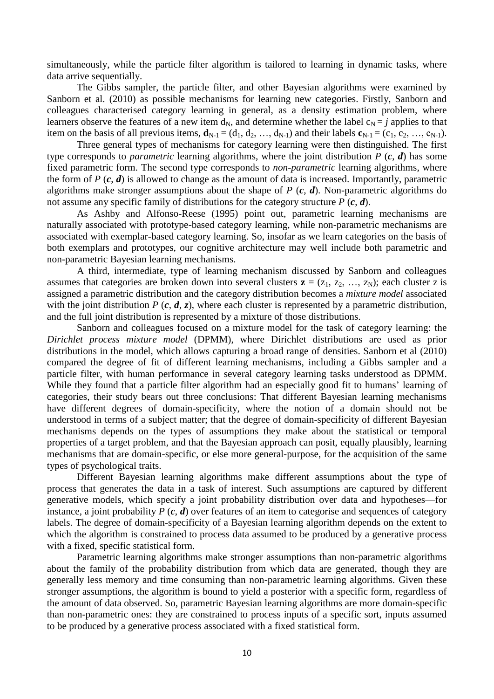simultaneously, while the particle filter algorithm is tailored to learning in dynamic tasks, where data arrive sequentially.

The Gibbs sampler, the particle filter, and other Bayesian algorithms were examined by Sanborn et al. (2010) as possible mechanisms for learning new categories. Firstly, Sanborn and colleagues characterised category learning in general, as a density estimation problem, where learners observe the features of a new item  $d_N$ , and determine whether the label  $c_N = j$  applies to that item on the basis of all previous items,  $\mathbf{d}_{N-1} = (d_1, d_2, ..., d_{N-1})$  and their labels  $\mathbf{c}_{N-1} = (c_1, c_2, ..., c_{N-1})$ .

Three general types of mechanisms for category learning were then distinguished. The first type corresponds to *parametric* learning algorithms, where the joint distribution *P* (*c*, *d*) has some fixed parametric form. The second type corresponds to *non-parametric* learning algorithms, where the form of *P* (*c*, *d*) is allowed to change as the amount of data is increased. Importantly, parametric algorithms make stronger assumptions about the shape of *P* (*c*, *d*). Non-parametric algorithms do not assume any specific family of distributions for the category structure *P* (*c*, *d*).

As Ashby and Alfonso-Reese (1995) point out, parametric learning mechanisms are naturally associated with prototype-based category learning, while non-parametric mechanisms are associated with exemplar-based category learning. So, insofar as we learn categories on the basis of both exemplars and prototypes, our cognitive architecture may well include both parametric and non-parametric Bayesian learning mechanisms.

A third, intermediate, type of learning mechanism discussed by Sanborn and colleagues assumes that categories are broken down into several clusters  $z = (z_1, z_2, ..., z_N)$ ; each cluster z is assigned a parametric distribution and the category distribution becomes a *mixture model* associated with the joint distribution *P (c, d, z)*, where each cluster is represented by a parametric distribution, and the full joint distribution is represented by a mixture of those distributions.

Sanborn and colleagues focused on a mixture model for the task of category learning: the *Dirichlet process mixture model* (DPMM), where Dirichlet distributions are used as prior distributions in the model, which allows capturing a broad range of densities. Sanborn et al (2010) compared the degree of fit of different learning mechanisms, including a Gibbs sampler and a particle filter, with human performance in several category learning tasks understood as DPMM. While they found that a particle filter algorithm had an especially good fit to humans' learning of categories, their study bears out three conclusions: That different Bayesian learning mechanisms have different degrees of domain-specificity, where the notion of a domain should not be understood in terms of a subject matter; that the degree of domain-specificity of different Bayesian mechanisms depends on the types of assumptions they make about the statistical or temporal properties of a target problem, and that the Bayesian approach can posit, equally plausibly, learning mechanisms that are domain-specific, or else more general-purpose, for the acquisition of the same types of psychological traits.

Different Bayesian learning algorithms make different assumptions about the type of process that generates the data in a task of interest. Such assumptions are captured by different generative models, which specify a joint probability distribution over data and hypotheses—for instance, a joint probability  $P(c, d)$  over features of an item to categorise and sequences of category labels. The degree of domain-specificity of a Bayesian learning algorithm depends on the extent to which the algorithm is constrained to process data assumed to be produced by a generative process with a fixed, specific statistical form.

Parametric learning algorithms make stronger assumptions than non-parametric algorithms about the family of the probability distribution from which data are generated, though they are generally less memory and time consuming than non-parametric learning algorithms. Given these stronger assumptions, the algorithm is bound to yield a posterior with a specific form, regardless of the amount of data observed. So, parametric Bayesian learning algorithms are more domain-specific than non-parametric ones: they are constrained to process inputs of a specific sort, inputs assumed to be produced by a generative process associated with a fixed statistical form.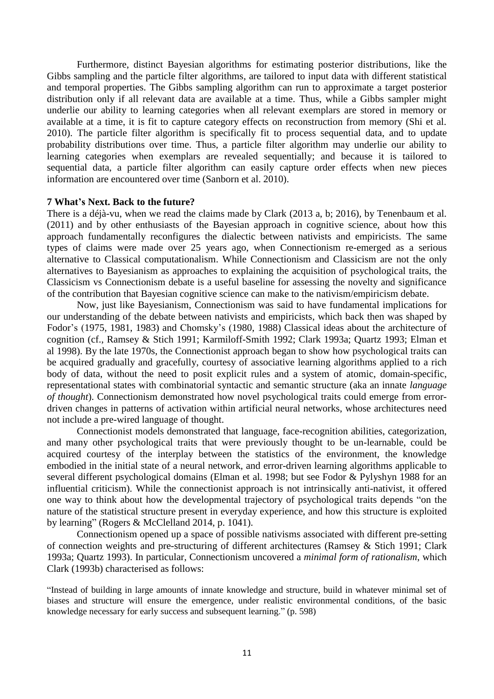Furthermore, distinct Bayesian algorithms for estimating posterior distributions, like the Gibbs sampling and the particle filter algorithms, are tailored to input data with different statistical and temporal properties. The Gibbs sampling algorithm can run to approximate a target posterior distribution only if all relevant data are available at a time. Thus, while a Gibbs sampler might underlie our ability to learning categories when all relevant exemplars are stored in memory or available at a time, it is fit to capture category effects on reconstruction from memory (Shi et al. 2010). The particle filter algorithm is specifically fit to process sequential data, and to update probability distributions over time. Thus, a particle filter algorithm may underlie our ability to learning categories when exemplars are revealed sequentially; and because it is tailored to sequential data, a particle filter algorithm can easily capture order effects when new pieces information are encountered over time (Sanborn et al. 2010).

#### **7 What's Next. Back to the future?**

There is a déjà-vu, when we read the claims made by Clark (2013 a, b; 2016), by Tenenbaum et al. (2011) and by other enthusiasts of the Bayesian approach in cognitive science, about how this approach fundamentally reconfigures the dialectic between nativists and empiricists. The same types of claims were made over 25 years ago, when Connectionism re-emerged as a serious alternative to Classical computationalism. While Connectionism and Classicism are not the only alternatives to Bayesianism as approaches to explaining the acquisition of psychological traits, the Classicism vs Connectionism debate is a useful baseline for assessing the novelty and significance of the contribution that Bayesian cognitive science can make to the nativism/empiricism debate.

Now, just like Bayesianism, Connectionism was said to have fundamental implications for our understanding of the debate between nativists and empiricists, which back then was shaped by Fodor's (1975, 1981, 1983) and Chomsky's (1980, 1988) Classical ideas about the architecture of cognition (cf., Ramsey & Stich 1991; Karmiloff-Smith 1992; Clark 1993a; Quartz 1993; Elman et al 1998). By the late 1970s, the Connectionist approach began to show how psychological traits can be acquired gradually and gracefully, courtesy of associative learning algorithms applied to a rich body of data, without the need to posit explicit rules and a system of atomic, domain-specific, representational states with combinatorial syntactic and semantic structure (aka an innate *language of thought*). Connectionism demonstrated how novel psychological traits could emerge from errordriven changes in patterns of activation within artificial neural networks, whose architectures need not include a pre-wired language of thought.

Connectionist models demonstrated that language, face-recognition abilities, categorization, and many other psychological traits that were previously thought to be un-learnable, could be acquired courtesy of the interplay between the statistics of the environment, the knowledge embodied in the initial state of a neural network, and error-driven learning algorithms applicable to several different psychological domains (Elman et al. 1998; but see Fodor & Pylyshyn 1988 for an influential criticism). While the connectionist approach is not intrinsically anti-nativist, it offered one way to think about how the developmental trajectory of psychological traits depends "on the nature of the statistical structure present in everyday experience, and how this structure is exploited by learning" (Rogers & McClelland 2014, p. 1041).

Connectionism opened up a space of possible nativisms associated with different pre-setting of connection weights and pre-structuring of different architectures (Ramsey & Stich 1991; Clark 1993a; Quartz 1993). In particular, Connectionism uncovered a *minimal form of rationalism*, which Clark (1993b) characterised as follows:

"Instead of building in large amounts of innate knowledge and structure, build in whatever minimal set of biases and structure will ensure the emergence, under realistic environmental conditions, of the basic knowledge necessary for early success and subsequent learning." (p. 598)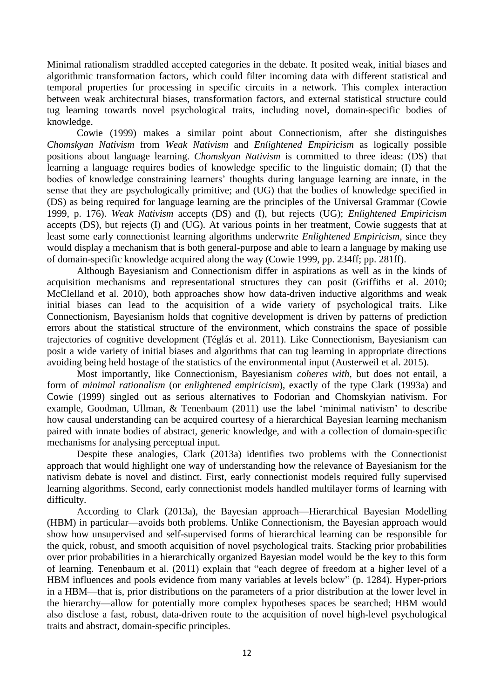Minimal rationalism straddled accepted categories in the debate. It posited weak, initial biases and algorithmic transformation factors, which could filter incoming data with different statistical and temporal properties for processing in specific circuits in a network. This complex interaction between weak architectural biases, transformation factors, and external statistical structure could tug learning towards novel psychological traits, including novel, domain-specific bodies of knowledge.

Cowie (1999) makes a similar point about Connectionism, after she distinguishes *Chomskyan Nativism* from *Weak Nativism* and *Enlightened Empiricism* as logically possible positions about language learning. *Chomskyan Nativism* is committed to three ideas: (DS) that learning a language requires bodies of knowledge specific to the linguistic domain; (I) that the bodies of knowledge constraining learners' thoughts during language learning are innate, in the sense that they are psychologically primitive; and (UG) that the bodies of knowledge specified in (DS) as being required for language learning are the principles of the Universal Grammar (Cowie 1999, p. 176). *Weak Nativism* accepts (DS) and (I), but rejects (UG); *Enlightened Empiricism* accepts (DS), but rejects (I) and (UG). At various points in her treatment, Cowie suggests that at least some early connectionist learning algorithms underwrite *Enlightened Empiricism*, since they would display a mechanism that is both general-purpose and able to learn a language by making use of domain-specific knowledge acquired along the way (Cowie 1999, pp. 234ff; pp. 281ff).

Although Bayesianism and Connectionism differ in aspirations as well as in the kinds of acquisition mechanisms and representational structures they can posit (Griffiths et al. 2010; McClelland et al. 2010), both approaches show how data-driven inductive algorithms and weak initial biases can lead to the acquisition of a wide variety of psychological traits. Like Connectionism, Bayesianism holds that cognitive development is driven by patterns of prediction errors about the statistical structure of the environment, which constrains the space of possible trajectories of cognitive development (Téglás et al. 2011). Like Connectionism, Bayesianism can posit a wide variety of initial biases and algorithms that can tug learning in appropriate directions avoiding being held hostage of the statistics of the environmental input (Austerweil et al. 2015).

Most importantly, like Connectionism, Bayesianism *coheres with*, but does not entail, a form of *minimal rationalism* (or *enlightened empiricism*), exactly of the type Clark (1993a) and Cowie (1999) singled out as serious alternatives to Fodorian and Chomskyian nativism. For example, Goodman, Ullman, & Tenenbaum (2011) use the label 'minimal nativism' to describe how causal understanding can be acquired courtesy of a hierarchical Bayesian learning mechanism paired with innate bodies of abstract, generic knowledge, and with a collection of domain-specific mechanisms for analysing perceptual input.

Despite these analogies, Clark (2013a) identifies two problems with the Connectionist approach that would highlight one way of understanding how the relevance of Bayesianism for the nativism debate is novel and distinct. First, early connectionist models required fully supervised learning algorithms. Second, early connectionist models handled multilayer forms of learning with difficulty.

According to Clark (2013a), the Bayesian approach—Hierarchical Bayesian Modelling (HBM) in particular—avoids both problems. Unlike Connectionism, the Bayesian approach would show how unsupervised and self-supervised forms of hierarchical learning can be responsible for the quick, robust, and smooth acquisition of novel psychological traits. Stacking prior probabilities over prior probabilities in a hierarchically organized Bayesian model would be the key to this form of learning. Tenenbaum et al. (2011) explain that "each degree of freedom at a higher level of a HBM influences and pools evidence from many variables at levels below" (p. 1284). Hyper-priors in a HBM—that is, prior distributions on the parameters of a prior distribution at the lower level in the hierarchy—allow for potentially more complex hypotheses spaces be searched; HBM would also disclose a fast, robust, data-driven route to the acquisition of novel high-level psychological traits and abstract, domain-specific principles.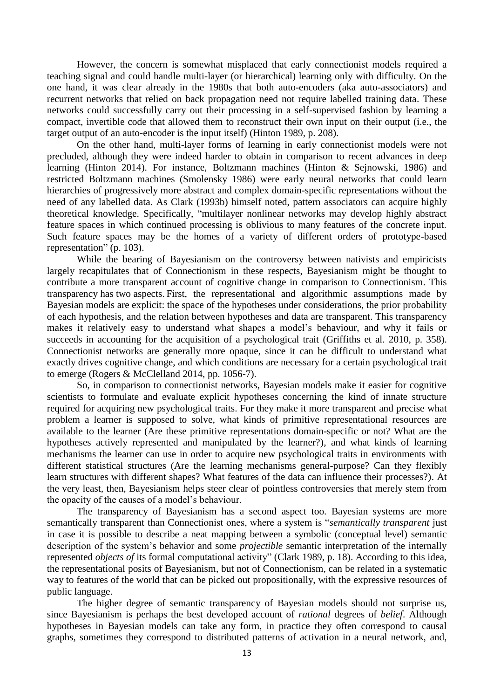However, the concern is somewhat misplaced that early connectionist models required a teaching signal and could handle multi-layer (or hierarchical) learning only with difficulty. On the one hand, it was clear already in the 1980s that both auto-encoders (aka auto-associators) and recurrent networks that relied on back propagation need not require labelled training data. These networks could successfully carry out their processing in a self-supervised fashion by learning a compact, invertible code that allowed them to reconstruct their own input on their output (i.e., the target output of an auto-encoder is the input itself) (Hinton 1989, p. 208).

On the other hand, multi-layer forms of learning in early connectionist models were not precluded, although they were indeed harder to obtain in comparison to recent advances in deep learning (Hinton 2014). For instance, Boltzmann machines (Hinton & Sejnowski, 1986) and restricted Boltzmann machines (Smolensky 1986) were early neural networks that could learn hierarchies of progressively more abstract and complex domain-specific representations without the need of any labelled data. As Clark (1993b) himself noted, pattern associators can acquire highly theoretical knowledge. Specifically, "multilayer nonlinear networks may develop highly abstract feature spaces in which continued processing is oblivious to many features of the concrete input. Such feature spaces may be the homes of a variety of different orders of prototype-based representation" (p. 103).

While the bearing of Bayesianism on the controversy between nativists and empiricists largely recapitulates that of Connectionism in these respects, Bayesianism might be thought to contribute a more transparent account of cognitive change in comparison to Connectionism. This transparency has two aspects. First, the representational and algorithmic assumptions made by Bayesian models are explicit: the space of the hypotheses under considerations, the prior probability of each hypothesis, and the relation between hypotheses and data are transparent. This transparency makes it relatively easy to understand what shapes a model's behaviour, and why it fails or succeeds in accounting for the acquisition of a psychological trait (Griffiths et al. 2010, p. 358). Connectionist networks are generally more opaque, since it can be difficult to understand what exactly drives cognitive change, and which conditions are necessary for a certain psychological trait to emerge (Rogers & McClelland 2014, pp. 1056-7).

So, in comparison to connectionist networks, Bayesian models make it easier for cognitive scientists to formulate and evaluate explicit hypotheses concerning the kind of innate structure required for acquiring new psychological traits. For they make it more transparent and precise what problem a learner is supposed to solve, what kinds of primitive representational resources are available to the learner (Are these primitive representations domain-specific or not? What are the hypotheses actively represented and manipulated by the learner?), and what kinds of learning mechanisms the learner can use in order to acquire new psychological traits in environments with different statistical structures (Are the learning mechanisms general-purpose? Can they flexibly learn structures with different shapes? What features of the data can influence their processes?). At the very least, then, Bayesianism helps steer clear of pointless controversies that merely stem from the opacity of the causes of a model's behaviour.

The transparency of Bayesianism has a second aspect too. Bayesian systems are more semantically transparent than Connectionist ones, where a system is "*semantically transparent* just in case it is possible to describe a neat mapping between a symbolic (conceptual level) semantic description of the system's behavior and some *projectible* semantic interpretation of the internally represented *objects of* its formal computational activity" (Clark 1989, p. 18). According to this idea, the representational posits of Bayesianism, but not of Connectionism, can be related in a systematic way to features of the world that can be picked out propositionally, with the expressive resources of public language.

The higher degree of semantic transparency of Bayesian models should not surprise us, since Bayesianism is perhaps the best developed account of *rational* degrees of *belief*. Although hypotheses in Bayesian models can take any form, in practice they often correspond to causal graphs, sometimes they correspond to distributed patterns of activation in a neural network, and,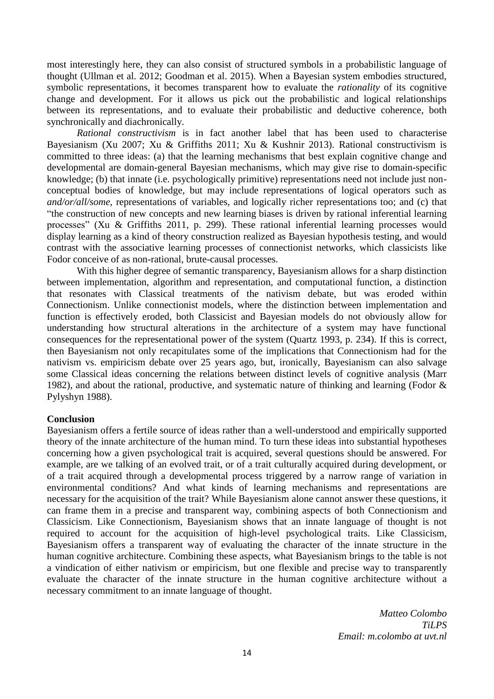most interestingly here, they can also consist of structured symbols in a probabilistic language of thought (Ullman et al. 2012; Goodman et al. 2015). When a Bayesian system embodies structured, symbolic representations, it becomes transparent how to evaluate the *rationality* of its cognitive change and development. For it allows us pick out the probabilistic and logical relationships between its representations, and to evaluate their probabilistic and deductive coherence, both synchronically and diachronically.

*Rational constructivism* is in fact another label that has been used to characterise Bayesianism (Xu 2007; Xu & Griffiths 2011; Xu & Kushnir 2013). Rational constructivism is committed to three ideas: (a) that the learning mechanisms that best explain cognitive change and developmental are domain-general Bayesian mechanisms, which may give rise to domain-specific knowledge; (b) that innate (i.e. psychologically primitive) representations need not include just nonconceptual bodies of knowledge, but may include representations of logical operators such as *and/or/all/some*, representations of variables, and logically richer representations too; and (c) that "the construction of new concepts and new learning biases is driven by rational inferential learning processes" (Xu & Griffiths 2011, p. 299). These rational inferential learning processes would display learning as a kind of theory construction realized as Bayesian hypothesis testing, and would contrast with the associative learning processes of connectionist networks, which classicists like Fodor conceive of as non-rational, brute-causal processes.

With this higher degree of semantic transparency, Bayesianism allows for a sharp distinction between implementation, algorithm and representation, and computational function, a distinction that resonates with Classical treatments of the nativism debate, but was eroded within Connectionism. Unlike connectionist models, where the distinction between implementation and function is effectively eroded, both Classicist and Bayesian models do not obviously allow for understanding how structural alterations in the architecture of a system may have functional consequences for the representational power of the system (Quartz 1993, p. 234). If this is correct, then Bayesianism not only recapitulates some of the implications that Connectionism had for the nativism vs. empiricism debate over 25 years ago, but, ironically, Bayesianism can also salvage some Classical ideas concerning the relations between distinct levels of cognitive analysis (Marr 1982), and about the rational, productive, and systematic nature of thinking and learning (Fodor & Pylyshyn 1988).

# **Conclusion**

Bayesianism offers a fertile source of ideas rather than a well-understood and empirically supported theory of the innate architecture of the human mind. To turn these ideas into substantial hypotheses concerning how a given psychological trait is acquired, several questions should be answered. For example, are we talking of an evolved trait, or of a trait culturally acquired during development, or of a trait acquired through a developmental process triggered by a narrow range of variation in environmental conditions? And what kinds of learning mechanisms and representations are necessary for the acquisition of the trait? While Bayesianism alone cannot answer these questions, it can frame them in a precise and transparent way, combining aspects of both Connectionism and Classicism. Like Connectionism, Bayesianism shows that an innate language of thought is not required to account for the acquisition of high-level psychological traits. Like Classicism, Bayesianism offers a transparent way of evaluating the character of the innate structure in the human cognitive architecture. Combining these aspects, what Bayesianism brings to the table is not a vindication of either nativism or empiricism, but one flexible and precise way to transparently evaluate the character of the innate structure in the human cognitive architecture without a necessary commitment to an innate language of thought.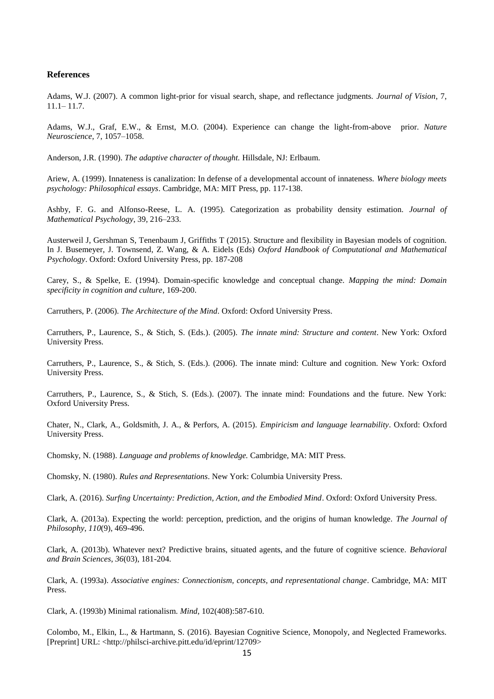#### **References**

Adams, W.J. (2007). A common light-prior for visual search, shape, and reflectance judgments. *Journal of Vision*, 7, 11.1– 11.7.

Adams, W.J., Graf, E.W., & Ernst, M.O. (2004). Experience can change the light-from-above prior. *Nature Neuroscience*, 7, 1057–1058.

Anderson, J.R. (1990). *The adaptive character of thought.* Hillsdale, NJ: Erlbaum.

Ariew, A. (1999). Innateness is canalization: In defense of a developmental account of innateness. *Where biology meets psychology: Philosophical essays*. Cambridge, MA: MIT Press, pp. 117-138.

Ashby, F. G. and Alfonso-Reese, L. A. (1995). Categorization as probability density estimation. *Journal of Mathematical Psychology*, 39, 216–233.

Austerweil J, Gershman S, Tenenbaum J, Griffiths T (2015). Structure and flexibility in Bayesian models of cognition. In J. Busemeyer, J. Townsend, Z. Wang, & A. Eidels (Eds) *Oxford Handbook of Computational and Mathematical Psychology*. Oxford: Oxford University Press, pp. 187-208

Carey, S., & Spelke, E. (1994). Domain-specific knowledge and conceptual change. *Mapping the mind: Domain specificity in cognition and culture*, 169-200.

Carruthers, P. (2006). *The Architecture of the Mind*. Oxford: Oxford University Press.

Carruthers, P., Laurence, S., & Stich, S. (Eds.). (2005). *The innate mind: Structure and content*. New York: Oxford University Press.

Carruthers, P., Laurence, S., & Stich, S. (Eds.). (2006). The innate mind: Culture and cognition. New York: Oxford University Press.

Carruthers, P., Laurence, S., & Stich, S. (Eds.). (2007). The innate mind: Foundations and the future. New York: Oxford University Press.

Chater, N., Clark, A., Goldsmith, J. A., & Perfors, A. (2015). *Empiricism and language learnability*. Oxford: Oxford University Press.

Chomsky, N. (1988). *Language and problems of knowledge.* Cambridge, MA: MIT Press.

Chomsky, N. (1980). *Rules and Representations*. New York: Columbia University Press.

Clark, A. (2016). *Surfing Uncertainty: Prediction, Action, and the Embodied Mind*. Oxford: Oxford University Press.

Clark, A. (2013a). Expecting the world: perception, prediction, and the origins of human knowledge. *The Journal of Philosophy*, *110*(9), 469-496.

Clark, A. (2013b). Whatever next? Predictive brains, situated agents, and the future of cognitive science. *Behavioral and Brain Sciences*, *36*(03), 181-204.

Clark, A. (1993a). *Associative engines: Connectionism, concepts, and representational change*. Cambridge, MA: MIT Press.

Clark, A. (1993b) Minimal rationalism. *Mind*, 102(408):587-610.

Colombo, M., Elkin, L., & Hartmann, S. (2016). Bayesian Cognitive Science, Monopoly, and Neglected Frameworks. [Preprint] URL: <http://philsci-archive.pitt.edu/id/eprint/12709>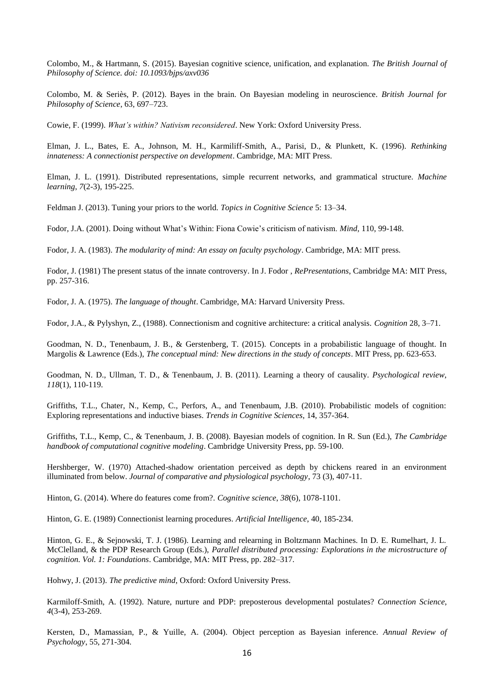Colombo, M., & Hartmann, S. (2015). Bayesian cognitive science, unification, and explanation. *The British Journal of Philosophy of Science. doi: 10.1093/bjps/axv036*

Colombo, M. & Seriès, P. (2012). Bayes in the brain. On Bayesian modeling in neuroscience. *British Journal for Philosophy of Science*, 63, 697–723.

Cowie, F. (1999). *What's within? Nativism reconsidered*. New York: Oxford University Press.

Elman, J. L., Bates, E. A., Johnson, M. H., Karmiliff-Smith, A., Parisi, D., & Plunkett, K. (1996). *Rethinking innateness: A connectionist perspective on development*. Cambridge, MA: MIT Press.

Elman, J. L. (1991). Distributed representations, simple recurrent networks, and grammatical structure. *Machine learning*, *7*(2-3), 195-225.

Feldman J. (2013). Tuning your priors to the world. *Topics in Cognitive Science* 5: 13–34.

Fodor, J.A. (2001). Doing without What's Within: Fiona Cowie's criticism of nativism. *Mind*, 110, 99-148.

Fodor, J. A. (1983). *The modularity of mind: An essay on faculty psychology*. Cambridge, MA: MIT press.

Fodor, J. (1981) The present status of the innate controversy. In J. Fodor , *RePresentations*, Cambridge MA: MIT Press, pp. 257-316.

Fodor, J. A. (1975). *The language of thought*. Cambridge, MA: Harvard University Press.

Fodor, J.A., & Pylyshyn, Z., (1988). Connectionism and cognitive architecture: a critical analysis. *Cognition* 28, 3–71.

Goodman, N. D., Tenenbaum, J. B., & Gerstenberg, T. (2015). Concepts in a probabilistic language of thought. In Margolis & Lawrence (Eds.), *The conceptual mind: New directions in the study of concepts*. MIT Press, pp. 623-653.

Goodman, N. D., Ullman, T. D., & Tenenbaum, J. B. (2011). Learning a theory of causality. *Psychological review*, *118*(1), 110-119.

Griffiths, T.L., Chater, N., Kemp, C., Perfors, A., and Tenenbaum, J.B. (2010). Probabilistic models of cognition: Exploring representations and inductive biases. *Trends in Cognitive Sciences*, 14, 357-364.

Griffiths, T.L., Kemp, C., & Tenenbaum, J. B. (2008). Bayesian models of cognition. In R. Sun (Ed.), *The Cambridge handbook of computational cognitive modeling*. Cambridge University Press, pp. 59-100.

Hershberger, W. (1970) Attached-shadow orientation perceived as depth by chickens reared in an environment illuminated from below. *Journal of comparative and physiological psychology*, 73 (3), 407-11.

Hinton, G. (2014). Where do features come from?. *Cognitive science*, *38*(6), 1078-1101.

Hinton, G. E. (1989) Connectionist learning procedures. *Artificial Intelligence*, 40, 185-234.

Hinton, G. E., & Sejnowski, T. J. (1986). Learning and relearning in Boltzmann Machines. In D. E. Rumelhart, J. L. McClelland, & the PDP Research Group (Eds.), *Parallel distributed processing: Explorations in the microstructure of cognition. Vol. 1: Foundations*. Cambridge, MA: MIT Press, pp. 282–317.

Hohwy, J. (2013). *The predictive mind*, Oxford: Oxford University Press.

Karmiloff-Smith, A. (1992). Nature, nurture and PDP: preposterous developmental postulates? *Connection Science*, *4*(3-4), 253-269.

Kersten, D., Mamassian, P., & Yuille, A. (2004). Object perception as Bayesian inference. *Annual Review of Psychology*, 55, 271-304.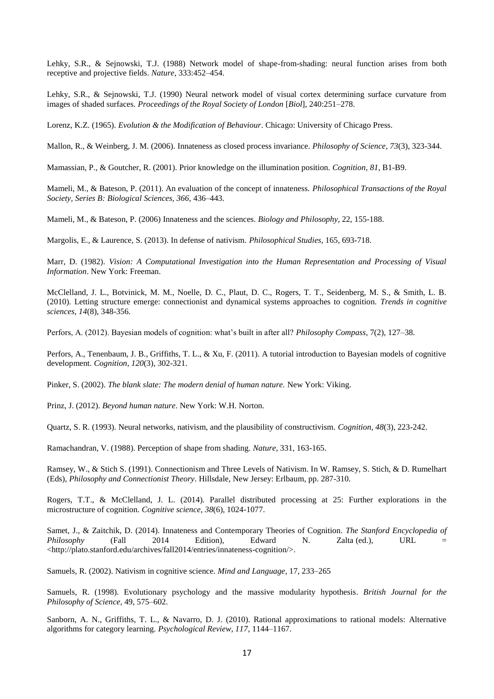Lehky, S.R., & Sejnowski, T.J. (1988) Network model of shape-from-shading: neural function arises from both receptive and projective fields. *Nature*, 333:452–454.

Lehky, S.R., & Sejnowski, T.J. (1990) Neural network model of visual cortex determining surface curvature from images of shaded surfaces. *Proceedings of the Royal Society of London* [*Biol*], 240:251–278.

Lorenz, K.Z. (1965). *Evolution & the Modification of Behaviour*. Chicago: University of Chicago Press.

Mallon, R., & Weinberg, J. M. (2006). Innateness as closed process invariance. *Philosophy of Science*, *73*(3), 323-344.

Mamassian, P., & Goutcher, R. (2001). Prior knowledge on the illumination position. *Cognition*, *81*, B1-B9.

Mameli, M., & Bateson, P. (2011). An evaluation of the concept of innateness. *Philosophical Transactions of the Royal Society, Series B: Biological Sciences, 366,* 436–443.

Mameli, M., & Bateson, P. (2006) Innateness and the sciences. *Biology and Philosophy*, 22, 155-188.

Margolis, E., & Laurence, S. (2013). In defense of nativism. *Philosophical Studies*, 165, 693-718.

Marr, D. (1982). *Vision: A Computational Investigation into the Human Representation and Processing of Visual Information*. New York: Freeman.

McClelland, J. L., Botvinick, M. M., Noelle, D. C., Plaut, D. C., Rogers, T. T., Seidenberg, M. S., & Smith, L. B. (2010). Letting structure emerge: connectionist and dynamical systems approaches to cognition. *Trends in cognitive sciences*, *14*(8), 348-356.

Perfors, A. (2012). Bayesian models of cognition: what's built in after all? *Philosophy Compass*, 7(2), 127–38.

Perfors, A., Tenenbaum, J. B., Griffiths, T. L., & Xu, F. (2011). A tutorial introduction to Bayesian models of cognitive development. *Cognition*, *120*(3), 302-321.

Pinker, S. (2002). *The blank slate: The modern denial of human nature.* New York: Viking.

Prinz, J. (2012). *Beyond human nature*. New York: W.H. Norton.

Quartz, S. R. (1993). Neural networks, nativism, and the plausibility of constructivism. *Cognition*, *48*(3), 223-242.

Ramachandran, V. (1988). Perception of shape from shading. *Nature*, 331, 163-165.

Ramsey, W., & Stich S. (1991). Connectionism and Three Levels of Nativism. In W. Ramsey, S. Stich, & D. Rumelhart (Eds), *Philosophy and Connectionist Theory*. Hillsdale, New Jersey: Erlbaum, pp. 287-310.

Rogers, T.T., & McClelland, J. L. (2014). Parallel distributed processing at 25: Further explorations in the microstructure of cognition. *Cognitive science*, *38*(6), 1024-1077.

Samet, J., & Zaitchik, D. (2014). Innateness and Contemporary Theories of Cognition. *The Stanford Encyclopedia of Philosophy* (Fall 2014 Edition), Edward N. Zalta (ed.), URL = <http://plato.stanford.edu/archives/fall2014/entries/innateness-cognition/>.

Samuels, R. (2002). Nativism in cognitive science. *Mind and Language*, 17, 233–265

Samuels, R. (1998). Evolutionary psychology and the massive modularity hypothesis*. British Journal for the Philosophy of Science,* 49, 575–602.

Sanborn, A. N., Griffiths, T. L., & Navarro, D. J. (2010). Rational approximations to rational models: Alternative algorithms for category learning. *Psychological Review, 117*, 1144–1167.